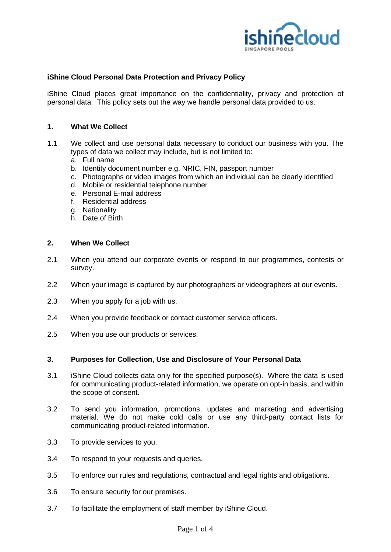

# **iShine Cloud Personal Data Protection and Privacy Policy**

iShine Cloud places great importance on the confidentiality, privacy and protection of personal data. This policy sets out the way we handle personal data provided to us.

## **1. What We Collect**

- 1.1 We collect and use personal data necessary to conduct our business with you. The types of data we collect may include, but is not limited to:
	- a. Full name
	- b. Identity document number e.g. NRIC, FIN, passport number
	- c. Photographs or video images from which an individual can be clearly identified
	- d. Mobile or residential telephone number
	- e. Personal E-mail address
	- f. Residential address
	- g. Nationality
	- h. Date of Birth

## **2. When We Collect**

- 2.1 When you attend our corporate events or respond to our programmes, contests or survey.
- 2.2 When your image is captured by our photographers or videographers at our events.
- 2.3 When you apply for a job with us.
- 2.4 When you provide feedback or contact customer service officers.
- 2.5 When you use our products or services.

#### **3. Purposes for Collection, Use and Disclosure of Your Personal Data**

- 3.1 iShine Cloud collects data only for the specified purpose(s). Where the data is used for communicating product-related information, we operate on opt-in basis, and within the scope of consent.
- 3.2 To send you information, promotions, updates and marketing and advertising material. We do not make cold calls or use any third-party contact lists for communicating product-related information.
- 3.3 To provide services to you.
- 3.4 To respond to your requests and queries.
- 3.5 To enforce our rules and regulations, contractual and legal rights and obligations.
- 3.6 To ensure security for our premises.
- 3.7 To facilitate the employment of staff member by iShine Cloud.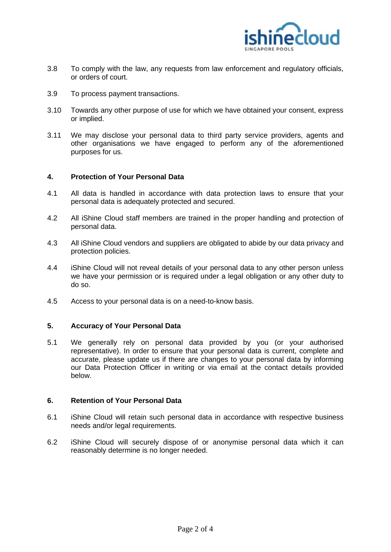

- 3.8 To comply with the law, any requests from law enforcement and regulatory officials, or orders of court.
- 3.9 To process payment transactions.
- 3.10 Towards any other purpose of use for which we have obtained your consent, express or implied.
- 3.11 We may disclose your personal data to third party service providers, agents and other organisations we have engaged to perform any of the aforementioned purposes for us.

## **4. Protection of Your Personal Data**

- 4.1 All data is handled in accordance with data protection laws to ensure that your personal data is adequately protected and secured.
- 4.2 All iShine Cloud staff members are trained in the proper handling and protection of personal data.
- 4.3 All iShine Cloud vendors and suppliers are obligated to abide by our data privacy and protection policies.
- 4.4 iShine Cloud will not reveal details of your personal data to any other person unless we have your permission or is required under a legal obligation or any other duty to do so.
- 4.5 Access to your personal data is on a need-to-know basis.

#### **5. Accuracy of Your Personal Data**

5.1 We generally rely on personal data provided by you (or your authorised representative). In order to ensure that your personal data is current, complete and accurate, please update us if there are changes to your personal data by informing our Data Protection Officer in writing or via email at the contact details provided below.

# **6. Retention of Your Personal Data**

- 6.1 iShine Cloud will retain such personal data in accordance with respective business needs and/or legal requirements.
- 6.2 iShine Cloud will securely dispose of or anonymise personal data which it can reasonably determine is no longer needed.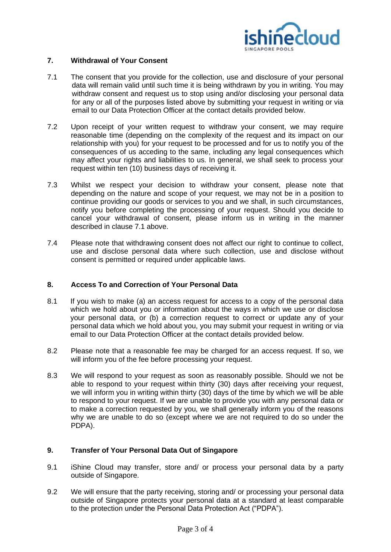

## **7. Withdrawal of Your Consent**

- 7.1 The consent that you provide for the collection, use and disclosure of your personal data will remain valid until such time it is being withdrawn by you in writing. You may withdraw consent and request us to stop using and/or disclosing your personal data for any or all of the purposes listed above by submitting your request in writing or via email to our Data Protection Officer at the contact details provided below.
- 7.2 Upon receipt of your written request to withdraw your consent, we may require reasonable time (depending on the complexity of the request and its impact on our relationship with you) for your request to be processed and for us to notify you of the consequences of us acceding to the same, including any legal consequences which may affect your rights and liabilities to us. In general, we shall seek to process your request within ten (10) business days of receiving it.
- 7.3 Whilst we respect your decision to withdraw your consent, please note that depending on the nature and scope of your request, we may not be in a position to continue providing our goods or services to you and we shall, in such circumstances, notify you before completing the processing of your request. Should you decide to cancel your withdrawal of consent, please inform us in writing in the manner described in clause 7.1 above.
- 7.4 Please note that withdrawing consent does not affect our right to continue to collect, use and disclose personal data where such collection, use and disclose without consent is permitted or required under applicable laws.

# **8. Access To and Correction of Your Personal Data**

- 8.1 If you wish to make (a) an access request for access to a copy of the personal data which we hold about you or information about the ways in which we use or disclose your personal data, or (b) a correction request to correct or update any of your personal data which we hold about you, you may submit your request in writing or via email to our Data Protection Officer at the contact details provided below.
- 8.2 Please note that a reasonable fee may be charged for an access request. If so, we will inform you of the fee before processing your request.
- 8.3 We will respond to your request as soon as reasonably possible. Should we not be able to respond to your request within thirty (30) days after receiving your request, we will inform you in writing within thirty (30) days of the time by which we will be able to respond to your request. If we are unable to provide you with any personal data or to make a correction requested by you, we shall generally inform you of the reasons why we are unable to do so (except where we are not required to do so under the PDPA).

# **9. Transfer of Your Personal Data Out of Singapore**

- 9.1 iShine Cloud may transfer, store and/ or process your personal data by a party outside of Singapore.
- 9.2 We will ensure that the party receiving, storing and/ or processing your personal data outside of Singapore protects your personal data at a standard at least comparable to the protection under the Personal Data Protection Act ("PDPA").